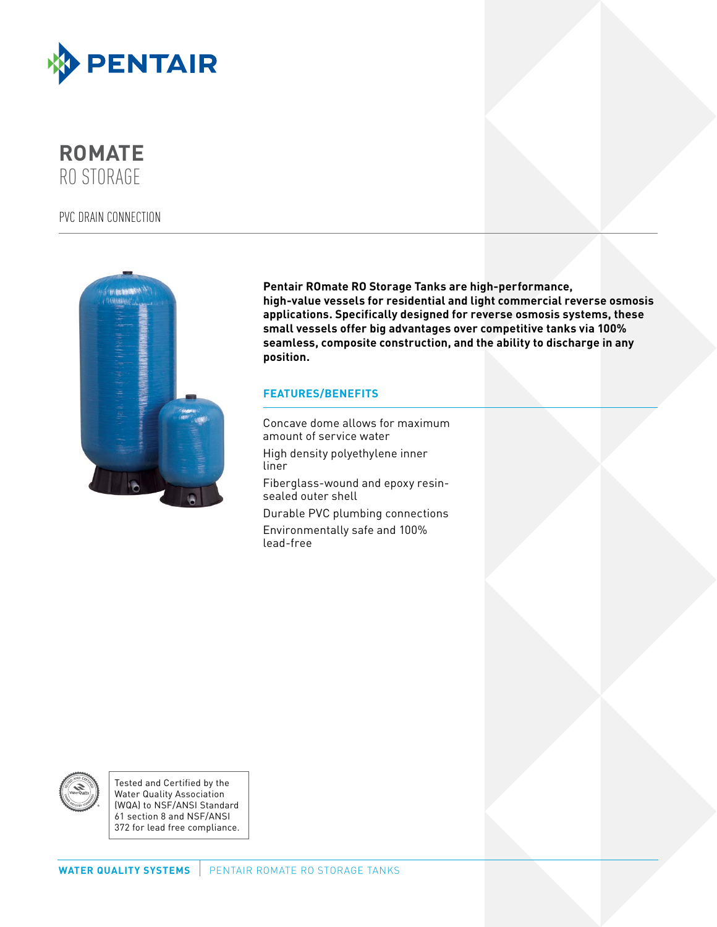

**ROMATE** RO STORAGE

# PVC DRAIN CONNECTION



**Pentair ROmate RO Storage Tanks are high-performance, high-value vessels for residential and light commercial reverse osmosis applications. Specifically designed for reverse osmosis systems, these small vessels offer big advantages over competitive tanks via 100% seamless, composite construction, and the ability to discharge in any position.**

## **FEATURES/BENEFITS**

Concave dome allows for maximum amount of service water High density polyethylene inner liner Fiberglass-wound and epoxy resinsealed outer shell Durable PVC plumbing connections Environmentally safe and 100% lead-free



Tested and Certified by the Water Quality Association (WQA) to NSF/ANSI Standard 61 section 8 and NSF/ANSI 372 for lead free compliance.